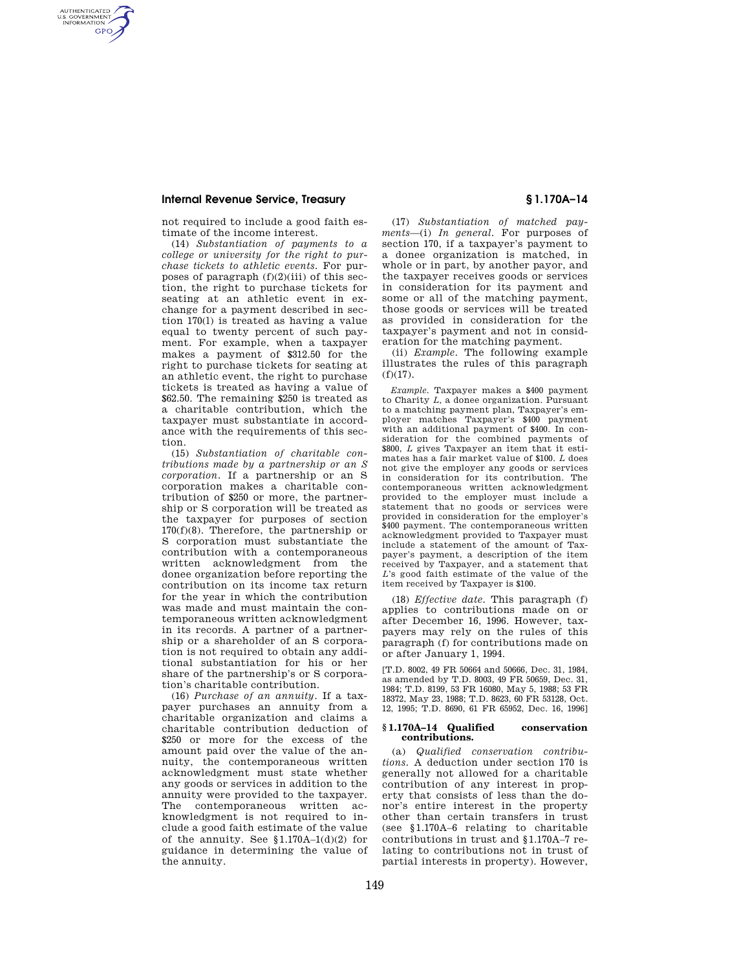AUTHENTICATED<br>U.S. GOVERNMENT<br>INFORMATION **GPO** 

> not required to include a good faith estimate of the income interest.

(14) *Substantiation of payments to a college or university for the right to purchase tickets to athletic events.* For purposes of paragraph  $(f)(2)(iii)$  of this section, the right to purchase tickets for seating at an athletic event in exchange for a payment described in section 170(l) is treated as having a value equal to twenty percent of such payment. For example, when a taxpayer makes a payment of \$312.50 for the right to purchase tickets for seating at an athletic event, the right to purchase tickets is treated as having a value of \$62.50. The remaining \$250 is treated as a charitable contribution, which the taxpayer must substantiate in accordance with the requirements of this section.

(15) *Substantiation of charitable contributions made by a partnership or an S corporation.* If a partnership or an S corporation makes a charitable contribution of \$250 or more, the partnership or S corporation will be treated as the taxpayer for purposes of section 170(f)(8). Therefore, the partnership or S corporation must substantiate the contribution with a contemporaneous written acknowledgment from the donee organization before reporting the contribution on its income tax return for the year in which the contribution was made and must maintain the contemporaneous written acknowledgment in its records. A partner of a partnership or a shareholder of an S corporation is not required to obtain any additional substantiation for his or her share of the partnership's or S corporation's charitable contribution.

(16) *Purchase of an annuity.* If a taxpayer purchases an annuity from a charitable organization and claims a charitable contribution deduction of \$250 or more for the excess of the amount paid over the value of the annuity, the contemporaneous written acknowledgment must state whether any goods or services in addition to the annuity were provided to the taxpayer. The contemporaneous written acknowledgment is not required to include a good faith estimate of the value of the annuity. See  $$1.170A-1(d)(2)$  for guidance in determining the value of the annuity.

(17) *Substantiation of matched payments*—(i) *In general.* For purposes of section 170, if a taxpayer's payment to a donee organization is matched, in whole or in part, by another payor, and the taxpayer receives goods or services in consideration for its payment and some or all of the matching payment, those goods or services will be treated as provided in consideration for the taxpayer's payment and not in consideration for the matching payment.

(ii) *Example.* The following example illustrates the rules of this paragraph  $(f)(17)$ .

*Example.* Taxpayer makes a \$400 payment to Charity *L,* a donee organization. Pursuant to a matching payment plan, Taxpayer's employer matches Taxpayer's \$400 payment with an additional payment of \$400. In consideration for the combined payments of \$800, *L* gives Taxpayer an item that it estimates has a fair market value of \$100. *L* does not give the employer any goods or services in consideration for its contribution. The contemporaneous written acknowledgment provided to the employer must include a statement that no goods or services were provided in consideration for the employer's \$400 payment. The contemporaneous written acknowledgment provided to Taxpayer must include a statement of the amount of Taxpayer's payment, a description of the item received by Taxpayer, and a statement that *L*'s good faith estimate of the value of the item received by Taxpayer is \$100.

(18) *Effective date.* This paragraph (f) applies to contributions made on or after December 16, 1996. However, taxpayers may rely on the rules of this paragraph (f) for contributions made on or after January 1, 1994.

[T.D. 8002, 49 FR 50664 and 50666, Dec. 31, 1984, as amended by T.D. 8003, 49 FR 50659, Dec. 31, 1984; T.D. 8199, 53 FR 16080, May 5, 1988; 53 FR 18372, May 23, 1988; T.D. 8623, 60 FR 53128, Oct. 12, 1995; T.D. 8690, 61 FR 65952, Dec. 16, 1996]

#### **§ 1.170A–14 Qualified conservation contributions.**

(a) *Qualified conservation contributions.* A deduction under section 170 is generally not allowed for a charitable contribution of any interest in property that consists of less than the donor's entire interest in the property other than certain transfers in trust (see §1.170A–6 relating to charitable contributions in trust and §1.170A–7 relating to contributions not in trust of partial interests in property). However,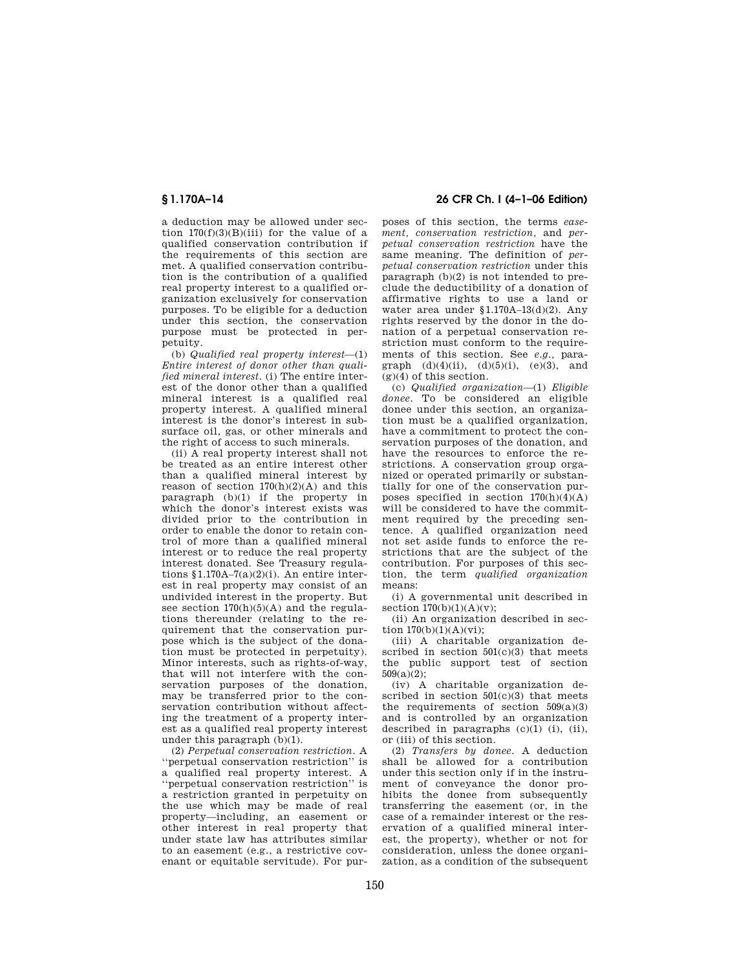a deduction may be allowed under section  $170(f)(3)(B)(iii)$  for the value of a qualified conservation contribution if the requirements of this section are met. A qualified conservation contribution is the contribution of a qualified real property interest to a qualified organization exclusively for conservation purposes. To be eligible for a deduction under this section, the conservation purpose must be protected in perpetuity.

(b) *Qualified real property interest*—(1) *Entire interest of donor other than qualified mineral interest.* (i) The entire interest of the donor other than a qualified mineral interest is a qualified real property interest. A qualified mineral interest is the donor's interest in subsurface oil, gas, or other minerals and the right of access to such minerals.

(ii) A real property interest shall not be treated as an entire interest other than a qualified mineral interest by reason of section  $170(h)(2)(A)$  and this paragraph (b)(1) if the property in which the donor's interest exists was divided prior to the contribution in order to enable the donor to retain control of more than a qualified mineral interest or to reduce the real property interest donated. See Treasury regulations  $$1.170A-7(a)(2)(i)$ . An entire interest in real property may consist of an undivided interest in the property. But see section  $170(h)(5)(A)$  and the regulations thereunder (relating to the requirement that the conservation purpose which is the subject of the donation must be protected in perpetuity). Minor interests, such as rights-of-way, that will not interfere with the conservation purposes of the donation, may be transferred prior to the conservation contribution without affecting the treatment of a property interest as a qualified real property interest under this paragraph (b)(1).

(2) *Perpetual conservation restriction.* A ''perpetual conservation restriction'' is a qualified real property interest. A ''perpetual conservation restriction'' is a restriction granted in perpetuity on the use which may be made of real property—including, an easement or other interest in real property that under state law has attributes similar to an easement (e.g., a restrictive covenant or equitable servitude). For pur-

## **§ 1.170A–14 26 CFR Ch. I (4–1–06 Edition)**

poses of this section, the terms *easement, conservation restriction,* and *perpetual conservation restriction* have the same meaning. The definition of *perpetual conservation restriction* under this paragraph (b)(2) is not intended to preclude the deductibility of a donation of affirmative rights to use a land or water area under §1.170A–13(d)(2). Any rights reserved by the donor in the donation of a perpetual conservation restriction must conform to the requirements of this section. See *e.g.,* paragraph  $(d)(4)(ii)$ ,  $(d)(5)(i)$ ,  $(e)(3)$ , and  $(g)(4)$  of this section.

(c) *Qualified organization*—(1) *Eligible donee.* To be considered an eligible donee under this section, an organization must be a qualified organization, have a commitment to protect the conservation purposes of the donation, and have the resources to enforce the restrictions. A conservation group organized or operated primarily or substantially for one of the conservation purposes specified in section  $170(h)(4)(A)$ will be considered to have the commitment required by the preceding sentence. A qualified organization need not set aside funds to enforce the restrictions that are the subject of the contribution. For purposes of this section, the term *qualified organization*  means:

(i) A governmental unit described in section  $170(b)(1)(A)(v)$ ;

(ii) An organization described in section  $170(b)(1)(A)(vi)$ ;

(iii) A charitable organization described in section  $501(c)(3)$  that meets the public support test of section 509(a)(2);

(iv) A charitable organization described in section  $501(c)(3)$  that meets the requirements of section  $509(a)(3)$ and is controlled by an organization described in paragraphs  $(c)(1)$   $(i)$ ,  $(ii)$ , or (iii) of this section.

(2) *Transfers by donee.* A deduction shall be allowed for a contribution under this section only if in the instrument of conveyance the donor prohibits the donee from subsequently transferring the easement (or, in the case of a remainder interest or the reservation of a qualified mineral interest, the property), whether or not for consideration, unless the donee organization, as a condition of the subsequent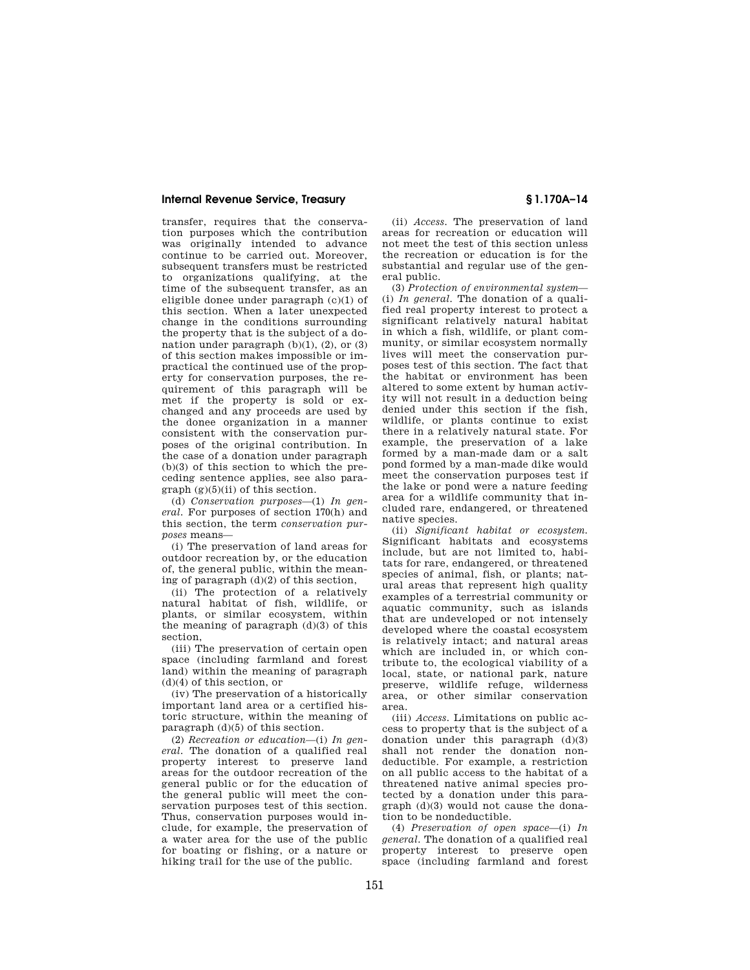transfer, requires that the conservation purposes which the contribution was originally intended to advance continue to be carried out. Moreover, subsequent transfers must be restricted to organizations qualifying, at the time of the subsequent transfer, as an eligible donee under paragraph (c)(1) of this section. When a later unexpected change in the conditions surrounding the property that is the subject of a donation under paragraph  $(b)(1)$ ,  $(2)$ , or  $(3)$ of this section makes impossible or impractical the continued use of the property for conservation purposes, the requirement of this paragraph will be met if the property is sold or exchanged and any proceeds are used by the donee organization in a manner consistent with the conservation purposes of the original contribution. In the case of a donation under paragraph (b)(3) of this section to which the preceding sentence applies, see also para $graph (g)(5)(ii)$  of this section.

(d) *Conservation purposes*—(1) *In general.* For purposes of section 170(h) and this section, the term *conservation purposes* means—

(i) The preservation of land areas for outdoor recreation by, or the education of, the general public, within the meaning of paragraph (d)(2) of this section,

(ii) The protection of a relatively natural habitat of fish, wildlife, or plants, or similar ecosystem, within the meaning of paragraph (d)(3) of this section,

(iii) The preservation of certain open space (including farmland and forest land) within the meaning of paragraph (d)(4) of this section, or

(iv) The preservation of a historically important land area or a certified historic structure, within the meaning of paragraph (d)(5) of this section.

(2) *Recreation or education*—(i) *In general.* The donation of a qualified real property interest to preserve land areas for the outdoor recreation of the general public or for the education of the general public will meet the conservation purposes test of this section. Thus, conservation purposes would include, for example, the preservation of a water area for the use of the public for boating or fishing, or a nature or hiking trail for the use of the public.

(ii) *Access.* The preservation of land areas for recreation or education will not meet the test of this section unless the recreation or education is for the substantial and regular use of the general public.

(3) *Protection of environmental system*— (i) *In general.* The donation of a qualified real property interest to protect a significant relatively natural habitat in which a fish, wildlife, or plant community, or similar ecosystem normally lives will meet the conservation purposes test of this section. The fact that the habitat or environment has been altered to some extent by human activity will not result in a deduction being denied under this section if the fish, wildlife, or plants continue to exist there in a relatively natural state. For example, the preservation of a lake formed by a man-made dam or a salt pond formed by a man-made dike would meet the conservation purposes test if the lake or pond were a nature feeding area for a wildlife community that included rare, endangered, or threatened native species.

(ii) *Significant habitat or ecosystem.*  Significant habitats and ecosystems include, but are not limited to, habitats for rare, endangered, or threatened species of animal, fish, or plants; natural areas that represent high quality examples of a terrestrial community or aquatic community, such as islands that are undeveloped or not intensely developed where the coastal ecosystem is relatively intact; and natural areas which are included in, or which contribute to, the ecological viability of a local, state, or national park, nature preserve, wildlife refuge, wilderness area, or other similar conservation area.

(iii) *Access.* Limitations on public access to property that is the subject of a donation under this paragraph (d)(3) shall not render the donation nondeductible. For example, a restriction on all public access to the habitat of a threatened native animal species protected by a donation under this paragraph (d)(3) would not cause the donation to be nondeductible.

(4) *Preservation of open space*—(i) *In general* The donation of a qualified real property interest to preserve open space (including farmland and forest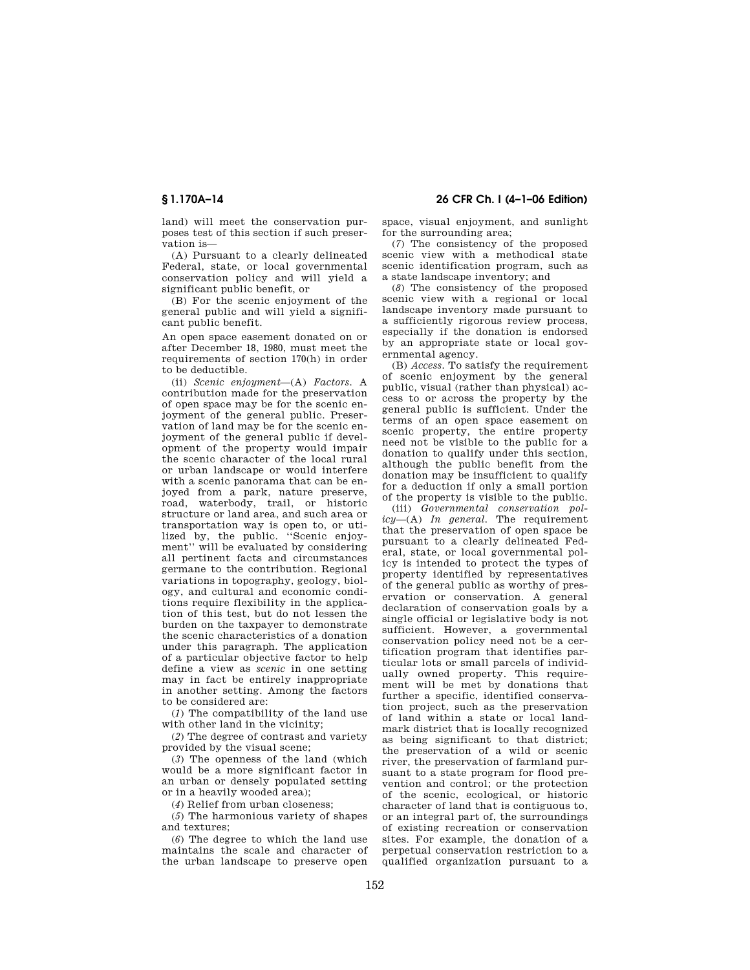land) will meet the conservation purposes test of this section if such preservation is—

(A) Pursuant to a clearly delineated Federal, state, or local governmental conservation policy and will yield a significant public benefit, or

(B) For the scenic enjoyment of the general public and will yield a significant public benefit.

An open space easement donated on or after December 18, 1980, must meet the requirements of section 170(h) in order to be deductible.

(ii) *Scenic enjoyment*—(A) *Factors.* A contribution made for the preservation of open space may be for the scenic enjoyment of the general public. Preservation of land may be for the scenic enjoyment of the general public if development of the property would impair the scenic character of the local rural or urban landscape or would interfere with a scenic panorama that can be enjoyed from a park, nature preserve, road, waterbody, trail, or historic structure or land area, and such area or transportation way is open to, or utilized by, the public. ''Scenic enjoyment'' will be evaluated by considering all pertinent facts and circumstances germane to the contribution. Regional variations in topography, geology, biology, and cultural and economic conditions require flexibility in the application of this test, but do not lessen the burden on the taxpayer to demonstrate the scenic characteristics of a donation under this paragraph. The application of a particular objective factor to help define a view as *scenic* in one setting may in fact be entirely inappropriate in another setting. Among the factors to be considered are:

(*1*) The compatibility of the land use with other land in the vicinity;

(*2*) The degree of contrast and variety provided by the visual scene;

(*3*) The openness of the land (which would be a more significant factor in an urban or densely populated setting or in a heavily wooded area);

(*4*) Relief from urban closeness;

(*5*) The harmonious variety of shapes and textures;

(*6*) The degree to which the land use maintains the scale and character of the urban landscape to preserve open

**§ 1.170A–14 26 CFR Ch. I (4–1–06 Edition)** 

space, visual enjoyment, and sunlight for the surrounding area;

(*7*) The consistency of the proposed scenic view with a methodical state scenic identification program, such as a state landscape inventory; and

(*8*) The consistency of the proposed scenic view with a regional or local landscape inventory made pursuant to a sufficiently rigorous review process, especially if the donation is endorsed by an appropriate state or local governmental agency.

(B) *Access.* To satisfy the requirement of scenic enjoyment by the general public, visual (rather than physical) access to or across the property by the general public is sufficient. Under the terms of an open space easement on scenic property, the entire property need not be visible to the public for a donation to qualify under this section, although the public benefit from the donation may be insufficient to qualify for a deduction if only a small portion of the property is visible to the public.

(iii) *Governmental conservation policy*—(A) *In general.* The requirement that the preservation of open space be pursuant to a clearly delineated Federal, state, or local governmental policy is intended to protect the types of property identified by representatives of the general public as worthy of preservation or conservation. A general declaration of conservation goals by a single official or legislative body is not sufficient. However, a governmental conservation policy need not be a certification program that identifies particular lots or small parcels of individually owned property. This requirement will be met by donations that further a specific, identified conservation project, such as the preservation of land within a state or local landmark district that is locally recognized as being significant to that district; the preservation of a wild or scenic river, the preservation of farmland pursuant to a state program for flood prevention and control; or the protection of the scenic, ecological, or historic character of land that is contiguous to, or an integral part of, the surroundings of existing recreation or conservation sites. For example, the donation of a perpetual conservation restriction to a qualified organization pursuant to a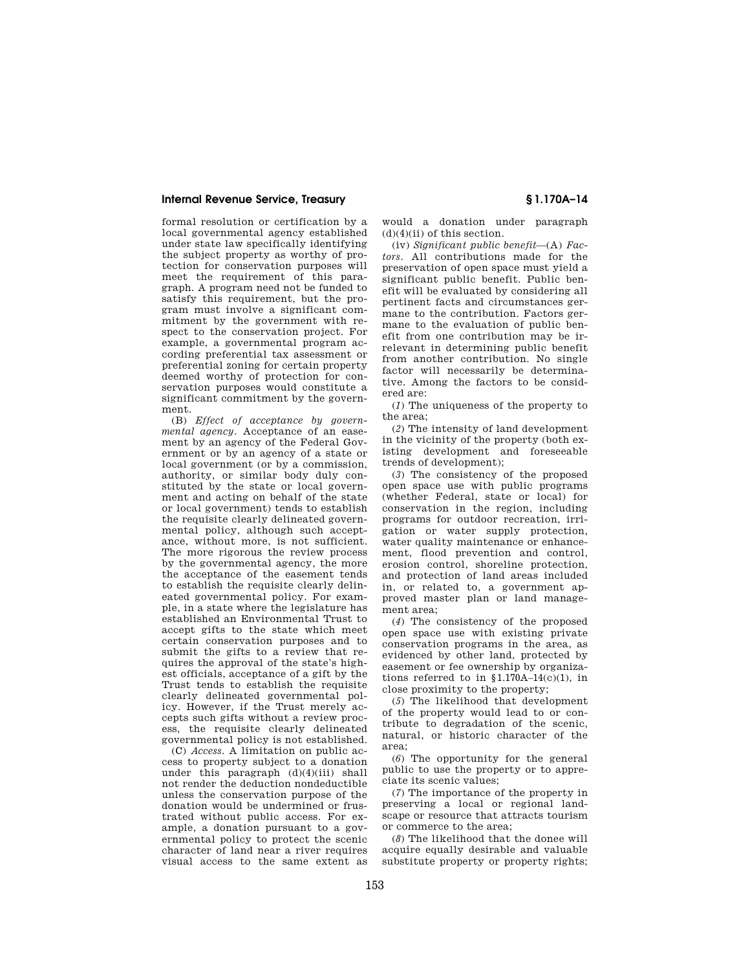formal resolution or certification by a local governmental agency established under state law specifically identifying the subject property as worthy of protection for conservation purposes will meet the requirement of this paragraph. A program need not be funded to satisfy this requirement, but the program must involve a significant commitment by the government with respect to the conservation project. For example, a governmental program according preferential tax assessment or preferential zoning for certain property deemed worthy of protection for conservation purposes would constitute a significant commitment by the government.

(B) *Effect of acceptance by governmental agency.* Acceptance of an easement by an agency of the Federal Government or by an agency of a state or local government (or by a commission, authority, or similar body duly constituted by the state or local government and acting on behalf of the state or local government) tends to establish the requisite clearly delineated governmental policy, although such acceptance, without more, is not sufficient. The more rigorous the review process by the governmental agency, the more the acceptance of the easement tends to establish the requisite clearly delineated governmental policy. For example, in a state where the legislature has established an Environmental Trust to accept gifts to the state which meet certain conservation purposes and to submit the gifts to a review that requires the approval of the state's highest officials, acceptance of a gift by the Trust tends to establish the requisite clearly delineated governmental policy. However, if the Trust merely accepts such gifts without a review process, the requisite clearly delineated governmental policy is not established.

(C) *Access.* A limitation on public access to property subject to a donation under this paragraph  $(d)(4)(iii)$  shall not render the deduction nondeductible unless the conservation purpose of the donation would be undermined or frustrated without public access. For example, a donation pursuant to a governmental policy to protect the scenic character of land near a river requires visual access to the same extent as would a donation under paragraph  $(d)(4)(ii)$  of this section.

(iv) *Significant public benefit*—(A) *Factors.* All contributions made for the preservation of open space must yield a significant public benefit. Public benefit will be evaluated by considering all pertinent facts and circumstances germane to the contribution. Factors germane to the evaluation of public benefit from one contribution may be irrelevant in determining public benefit from another contribution. No single factor will necessarily be determinative. Among the factors to be considered are:

(*1*) The uniqueness of the property to the area;

(*2*) The intensity of land development in the vicinity of the property (both existing development and foreseeable trends of development);

(*3*) The consistency of the proposed open space use with public programs (whether Federal, state or local) for conservation in the region, including programs for outdoor recreation, irrigation or water supply protection, water quality maintenance or enhancement, flood prevention and control, erosion control, shoreline protection, and protection of land areas included in, or related to, a government approved master plan or land management area;

(*4*) The consistency of the proposed open space use with existing private conservation programs in the area, as evidenced by other land, protected by easement or fee ownership by organizations referred to in  $$1.170A-14(c)(1)$ , in close proximity to the property;

(*5*) The likelihood that development of the property would lead to or contribute to degradation of the scenic, natural, or historic character of the area;

(*6*) The opportunity for the general public to use the property or to appreciate its scenic values;

(*7*) The importance of the property in preserving a local or regional landscape or resource that attracts tourism or commerce to the area;

(*8*) The likelihood that the donee will acquire equally desirable and valuable substitute property or property rights;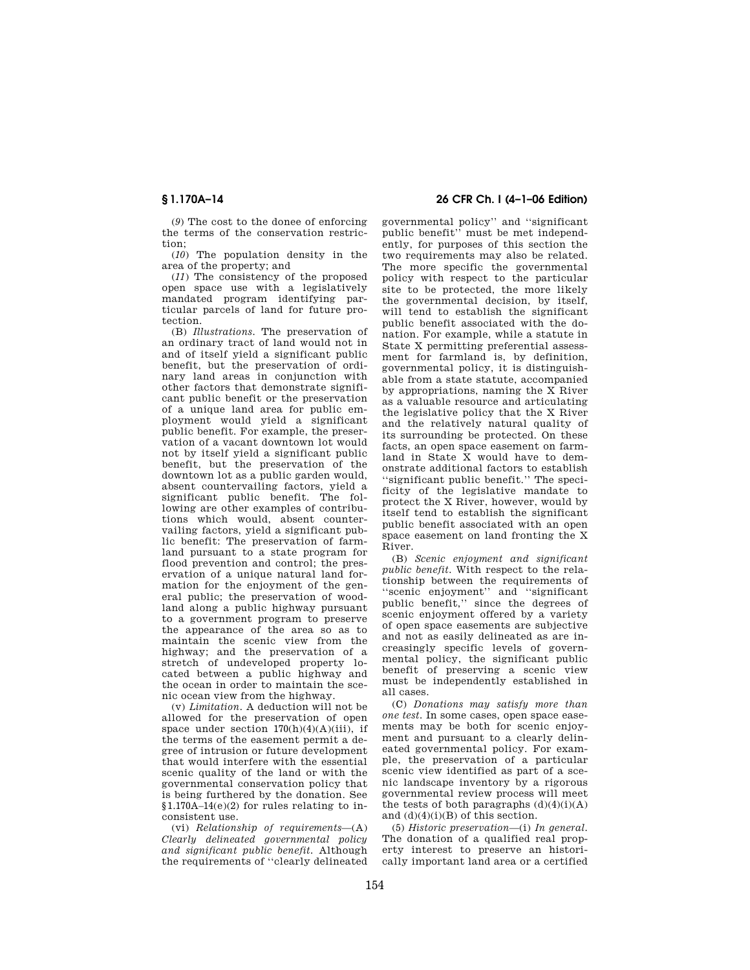(*9*) The cost to the donee of enforcing the terms of the conservation restriction;

(*10*) The population density in the area of the property; and

(*11*) The consistency of the proposed open space use with a legislatively mandated program identifying particular parcels of land for future protection.

(B) *Illustrations.* The preservation of an ordinary tract of land would not in and of itself yield a significant public benefit, but the preservation of ordinary land areas in conjunction with other factors that demonstrate significant public benefit or the preservation of a unique land area for public employment would yield a significant public benefit. For example, the preservation of a vacant downtown lot would not by itself yield a significant public benefit, but the preservation of the downtown lot as a public garden would, absent countervailing factors, yield a significant public benefit. The following are other examples of contributions which would, absent countervailing factors, yield a significant public benefit: The preservation of farmland pursuant to a state program for flood prevention and control; the preservation of a unique natural land formation for the enjoyment of the general public; the preservation of woodland along a public highway pursuant to a government program to preserve the appearance of the area so as to maintain the scenic view from the highway; and the preservation of a stretch of undeveloped property located between a public highway and the ocean in order to maintain the scenic ocean view from the highway.

(v) *Limitation.* A deduction will not be allowed for the preservation of open space under section  $170(h)(4)(A)(iii)$ , if the terms of the easement permit a degree of intrusion or future development that would interfere with the essential scenic quality of the land or with the governmental conservation policy that is being furthered by the donation. See §1.170A–14(e)(2) for rules relating to inconsistent use.

(vi) *Relationship of requirements*—(A) *Clearly delineated governmental policy and significant public benefit.* Although the requirements of ''clearly delineated

## **§ 1.170A–14 26 CFR Ch. I (4–1–06 Edition)**

governmental policy'' and ''significant public benefit'' must be met independently, for purposes of this section the two requirements may also be related. The more specific the governmental policy with respect to the particular site to be protected, the more likely the governmental decision, by itself, will tend to establish the significant public benefit associated with the donation. For example, while a statute in State X permitting preferential assessment for farmland is, by definition, governmental policy, it is distinguishable from a state statute, accompanied by appropriations, naming the X River as a valuable resource and articulating the legislative policy that the X River and the relatively natural quality of its surrounding be protected. On these facts, an open space easement on farmland in State X would have to demonstrate additional factors to establish 'significant public benefit.'' The specificity of the legislative mandate to protect the X River, however, would by itself tend to establish the significant public benefit associated with an open space easement on land fronting the X River.

(B) *Scenic enjoyment and significant public benefit.* With respect to the relationship between the requirements of ''scenic enjoyment'' and ''significant public benefit,'' since the degrees of scenic enjoyment offered by a variety of open space easements are subjective and not as easily delineated as are increasingly specific levels of governmental policy, the significant public benefit of preserving a scenic view must be independently established in all cases.

(C) *Donations may satisfy more than one test.* In some cases, open space easements may be both for scenic enjoyment and pursuant to a clearly delineated governmental policy. For example, the preservation of a particular scenic view identified as part of a scenic landscape inventory by a rigorous governmental review process will meet the tests of both paragraphs  $(d)(4)(i)(A)$ and  $(d)(4)(i)(B)$  of this section.

(5) *Historic preservation*—(i) *In general.*  The donation of a qualified real property interest to preserve an historically important land area or a certified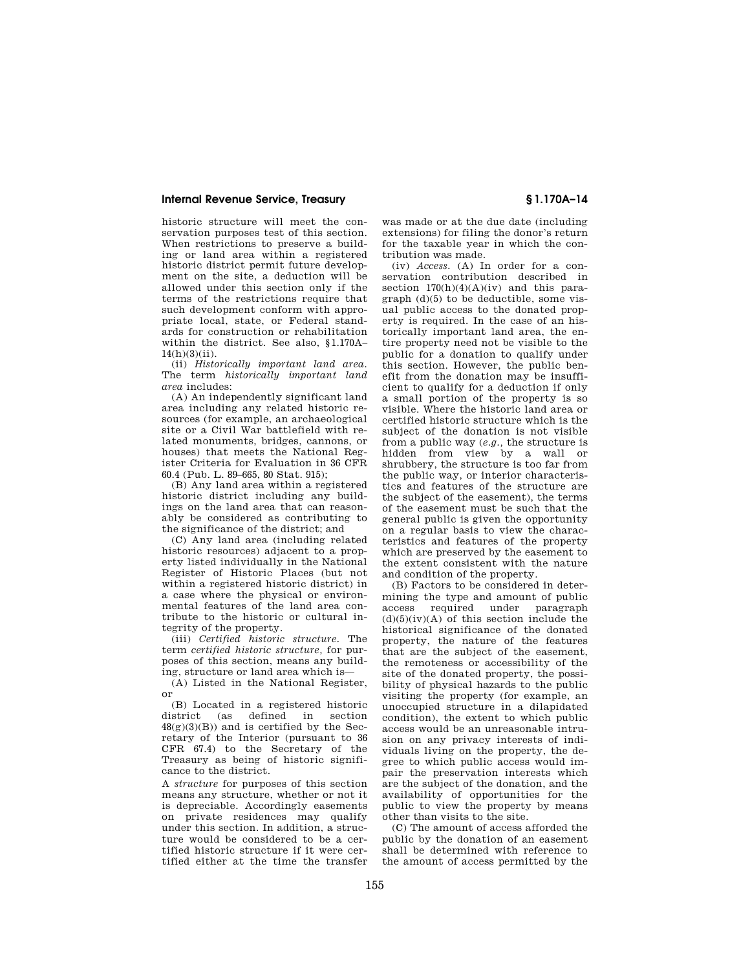historic structure will meet the conservation purposes test of this section. When restrictions to preserve a building or land area within a registered historic district permit future development on the site, a deduction will be allowed under this section only if the terms of the restrictions require that such development conform with appropriate local, state, or Federal standards for construction or rehabilitation within the district. See also, §1.170A–  $14(h)(3)(ii)$ .

(ii) *Historically important land area.*  The term *historically important land area* includes:

(A) An independently significant land area including any related historic resources (for example, an archaeological site or a Civil War battlefield with related monuments, bridges, cannons, or houses) that meets the National Register Criteria for Evaluation in 36 CFR 60.4 (Pub. L. 89–665, 80 Stat. 915);

(B) Any land area within a registered historic district including any buildings on the land area that can reasonably be considered as contributing to the significance of the district; and

(C) Any land area (including related historic resources) adjacent to a property listed individually in the National Register of Historic Places (but not within a registered historic district) in a case where the physical or environmental features of the land area contribute to the historic or cultural integrity of the property.

(iii) *Certified historic structure.* The term *certified historic structure,* for purposes of this section, means any building, structure or land area which is—

(A) Listed in the National Register, or

(B) Located in a registered historic district (as defined in section  $48(g)(3)(B)$  and is certified by the Secretary of the Interior (pursuant to 36 CFR 67.4) to the Secretary of the Treasury as being of historic significance to the district.

A *structure* for purposes of this section means any structure, whether or not it is depreciable. Accordingly easements on private residences may qualify under this section. In addition, a structure would be considered to be a certified historic structure if it were certified either at the time the transfer

was made or at the due date (including extensions) for filing the donor's return for the taxable year in which the contribution was made.

(iv) *Access.* (A) In order for a conservation contribution described in section  $170(h)(4)(A)(iv)$  and this paragraph (d)(5) to be deductible, some visual public access to the donated property is required. In the case of an historically important land area, the entire property need not be visible to the public for a donation to qualify under this section. However, the public benefit from the donation may be insufficient to qualify for a deduction if only a small portion of the property is so visible. Where the historic land area or certified historic structure which is the subject of the donation is not visible from a public way (*e.g.,* the structure is hidden from view by a wall or shrubbery, the structure is too far from the public way, or interior characteristics and features of the structure are the subject of the easement), the terms of the easement must be such that the general public is given the opportunity on a regular basis to view the characteristics and features of the property which are preserved by the easement to the extent consistent with the nature and condition of the property.

(B) Factors to be considered in determining the type and amount of public access required under paragraph  $(d)(5)(iv)(A)$  of this section include the historical significance of the donated property, the nature of the features that are the subject of the easement, the remoteness or accessibility of the site of the donated property, the possibility of physical hazards to the public visiting the property (for example, an unoccupied structure in a dilapidated condition), the extent to which public access would be an unreasonable intrusion on any privacy interests of individuals living on the property, the degree to which public access would impair the preservation interests which are the subject of the donation, and the availability of opportunities for the public to view the property by means other than visits to the site.

(C) The amount of access afforded the public by the donation of an easement shall be determined with reference to the amount of access permitted by the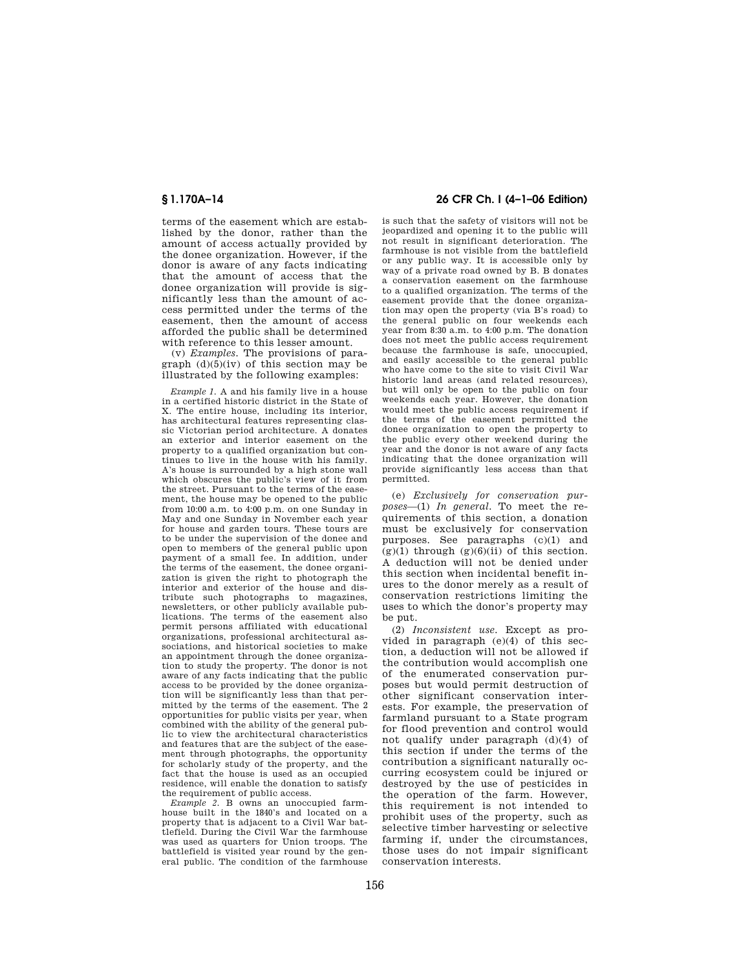terms of the easement which are established by the donor, rather than the amount of access actually provided by the donee organization. However, if the donor is aware of any facts indicating that the amount of access that the donee organization will provide is significantly less than the amount of access permitted under the terms of the easement, then the amount of access afforded the public shall be determined with reference to this lesser amount.

(v) *Examples.* The provisions of paragraph  $(d)(5)(iv)$  of this section may be illustrated by the following examples:

*Example 1.* A and his family live in a house in a certified historic district in the State of X. The entire house, including its interior, has architectural features representing classic Victorian period architecture. A donates an exterior and interior easement on the property to a qualified organization but continues to live in the house with his family. A's house is surrounded by a high stone wall which obscures the public's view of it from the street. Pursuant to the terms of the easement, the house may be opened to the public from 10:00 a.m. to 4:00 p.m. on one Sunday in May and one Sunday in November each year for house and garden tours. These tours are to be under the supervision of the donee and open to members of the general public upon payment of a small fee. In addition, under the terms of the easement, the donee organization is given the right to photograph the interior and exterior of the house and distribute such photographs to magazines, newsletters, or other publicly available publications. The terms of the easement also permit persons affiliated with educational organizations, professional architectural associations, and historical societies to make an appointment through the donee organization to study the property. The donor is not aware of any facts indicating that the public access to be provided by the donee organization will be significantly less than that permitted by the terms of the easement. The 2 opportunities for public visits per year, when combined with the ability of the general public to view the architectural characteristics and features that are the subject of the easement through photographs, the opportunity for scholarly study of the property, and the fact that the house is used as an occupied residence, will enable the donation to satisfy the requirement of public access.

*Example 2.* B owns an unoccupied farmhouse built in the 1840's and located on a property that is adjacent to a Civil War battlefield. During the Civil War the farmhouse was used as quarters for Union troops. The battlefield is visited year round by the general public. The condition of the farmhouse

## **§ 1.170A–14 26 CFR Ch. I (4–1–06 Edition)**

is such that the safety of visitors will not be jeopardized and opening it to the public will not result in significant deterioration. The farmhouse is not visible from the battlefield or any public way. It is accessible only by way of a private road owned by B. B donates a conservation easement on the farmhouse to a qualified organization. The terms of the easement provide that the donee organization may open the property (via B's road) to the general public on four weekends each year from 8:30 a.m. to 4:00 p.m. The donation does not meet the public access requirement because the farmhouse is safe, unoccupied, and easily accessible to the general public who have come to the site to visit Civil War historic land areas (and related resources), but will only be open to the public on four weekends each year. However, the donation would meet the public access requirement if the terms of the easement permitted the donee organization to open the property to the public every other weekend during the year and the donor is not aware of any facts indicating that the donee organization will provide significantly less access than that permitted.

(e) *Exclusively for conservation purposes*—(1) *In general.* To meet the requirements of this section, a donation must be exclusively for conservation purposes. See paragraphs (c)(1) and  $(g)(1)$  through  $(g)(6)(ii)$  of this section. A deduction will not be denied under this section when incidental benefit inures to the donor merely as a result of conservation restrictions limiting the uses to which the donor's property may be put.

(2) *Inconsistent use.* Except as provided in paragraph (e)(4) of this section, a deduction will not be allowed if the contribution would accomplish one of the enumerated conservation purposes but would permit destruction of other significant conservation interests. For example, the preservation of farmland pursuant to a State program for flood prevention and control would not qualify under paragraph (d)(4) of this section if under the terms of the contribution a significant naturally occurring ecosystem could be injured or destroyed by the use of pesticides in the operation of the farm. However, this requirement is not intended to prohibit uses of the property, such as selective timber harvesting or selective farming if, under the circumstances, those uses do not impair significant conservation interests.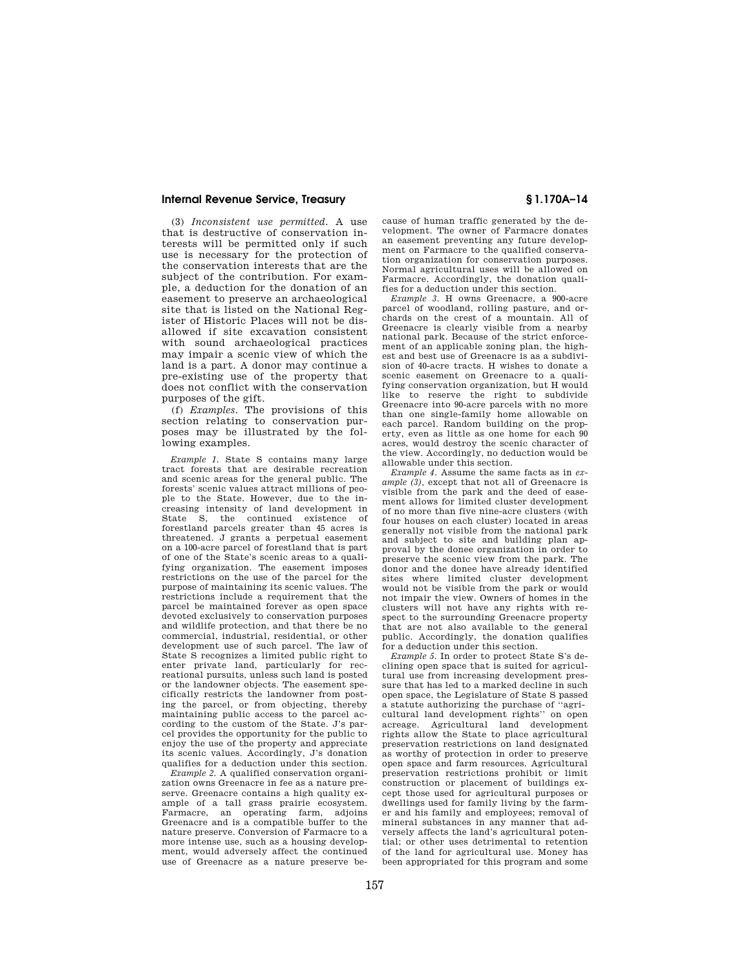(3) *Inconsistent use permitted.* A use that is destructive of conservation interests will be permitted only if such use is necessary for the protection of the conservation interests that are the subject of the contribution. For example, a deduction for the donation of an easement to preserve an archaeological site that is listed on the National Register of Historic Places will not be disallowed if site excavation consistent with sound archaeological practices may impair a scenic view of which the land is a part. A donor may continue a pre-existing use of the property that does not conflict with the conservation purposes of the gift.

(f) *Examples.* The provisions of this section relating to conservation purposes may be illustrated by the following examples.

*Example 1.* State S contains many large tract forests that are desirable recreation and scenic areas for the general public. The forests' scenic values attract millions of people to the State. However, due to the increasing intensity of land development in State S, the continued existence of forestland parcels greater than 45 acres is threatened. J grants a perpetual easement on a 100-acre parcel of forestland that is part of one of the State's scenic areas to a qualifying organization. The easement imposes restrictions on the use of the parcel for the purpose of maintaining its scenic values. The restrictions include a requirement that the parcel be maintained forever as open space devoted exclusively to conservation purposes and wildlife protection, and that there be no commercial, industrial, residential, or other development use of such parcel. The law of State S recognizes a limited public right to enter private land, particularly for recreational pursuits, unless such land is posted or the landowner objects. The easement specifically restricts the landowner from posting the parcel, or from objecting, thereby maintaining public access to the parcel according to the custom of the State. J's parcel provides the opportunity for the public to enjoy the use of the property and appreciate its scenic values. Accordingly, J's donation qualifies for a deduction under this section.

*Example 2.* A qualified conservation organization owns Greenacre in fee as a nature preserve. Greenacre contains a high quality example of a tall grass prairie ecosystem. Farmacre, an operating farm, adjoins Greenacre and is a compatible buffer to the nature preserve. Conversion of Farmacre to a more intense use, such as a housing development, would adversely affect the continued use of Greenacre as a nature preserve because of human traffic generated by the development. The owner of Farmacre donates an easement preventing any future development on Farmacre to the qualified conservation organization for conservation purposes. Normal agricultural uses will be allowed on Farmacre. Accordingly, the donation qualifies for a deduction under this section.

*Example 3.* H owns Greenacre, a 900-acre parcel of woodland, rolling pasture, and orchards on the crest of a mountain. All of Greenacre is clearly visible from a nearby national park. Because of the strict enforcement of an applicable zoning plan, the highest and best use of Greenacre is as a subdivision of 40-acre tracts. H wishes to donate a scenic easement on Greenacre to a qualifying conservation organization, but H would like to reserve the right to subdivide Greenacre into 90-acre parcels with no more than one single-family home allowable on each parcel. Random building on the property, even as little as one home for each 90 acres, would destroy the scenic character of the view. Accordingly, no deduction would be allowable under this section.

*Example 4.* Assume the same facts as in *example (3),* except that not all of Greenacre is visible from the park and the deed of easement allows for limited cluster development of no more than five nine-acre clusters (with four houses on each cluster) located in areas generally not visible from the national park and subject to site and building plan approval by the donee organization in order to preserve the scenic view from the park. The donor and the donee have already identified sites where limited cluster development would not be visible from the park or would not impair the view. Owners of homes in the clusters will not have any rights with respect to the surrounding Greenacre property that are not also available to the general public. Accordingly, the donation qualifies for a deduction under this section.

*Example 5.* In order to protect State S's declining open space that is suited for agricultural use from increasing development pressure that has led to a marked decline in such open space, the Legislature of State S passed a statute authorizing the purchase of ' cultural land development rights'' on open acreage. Agricultural land development rights allow the State to place agricultural preservation restrictions on land designated as worthy of protection in order to preserve open space and farm resources. Agricultural preservation restrictions prohibit or limit construction or placement of buildings except those used for agricultural purposes or dwellings used for family living by the farmer and his family and employees; removal of mineral substances in any manner that adversely affects the land's agricultural potential; or other uses detrimental to retention of the land for agricultural use. Money has been appropriated for this program and some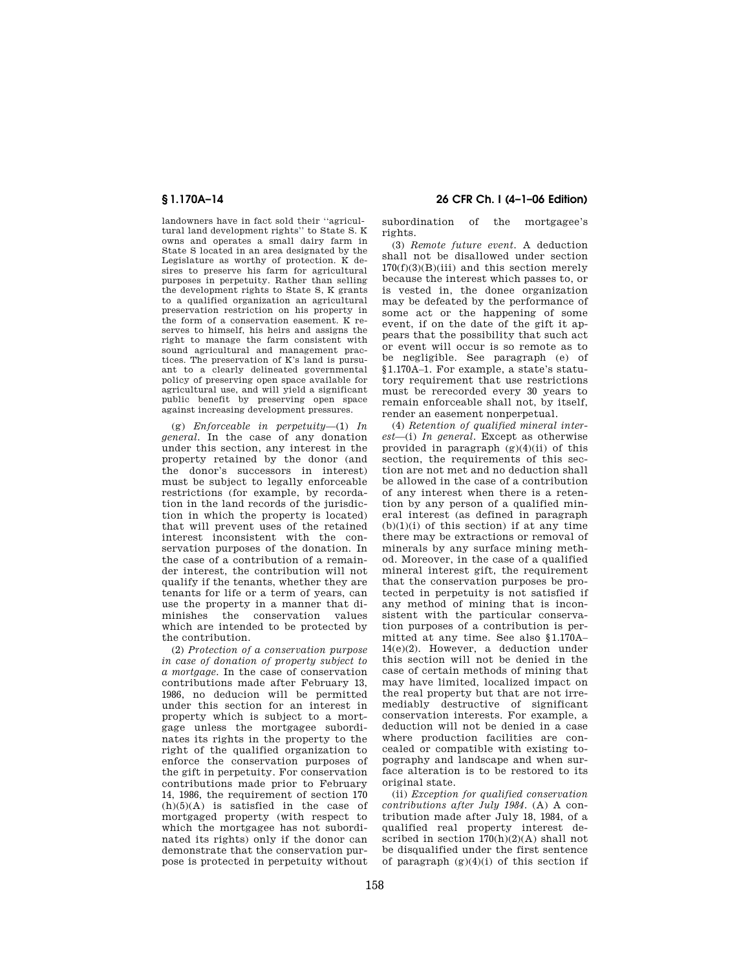landowners have in fact sold their ''agricultural land development rights'' to State S. K owns and operates a small dairy farm in State S located in an area designated by the Legislature as worthy of protection. K desires to preserve his farm for agricultural purposes in perpetuity. Rather than selling the development rights to State S, K grants to a qualified organization an agricultural preservation restriction on his property in the form of a conservation easement. K reserves to himself, his heirs and assigns the right to manage the farm consistent with sound agricultural and management practices. The preservation of K's land is pursuant to a clearly delineated governmental policy of preserving open space available for agricultural use, and will yield a significant public benefit by preserving open space against increasing development pressures.

(g) *Enforceable in perpetuity*—(1) *In general.* In the case of any donation under this section, any interest in the property retained by the donor (and the donor's successors in interest) must be subject to legally enforceable restrictions (for example, by recordation in the land records of the jurisdiction in which the property is located) that will prevent uses of the retained interest inconsistent with the conservation purposes of the donation. In the case of a contribution of a remainder interest, the contribution will not qualify if the tenants, whether they are tenants for life or a term of years, can use the property in a manner that diminishes the conservation values which are intended to be protected by the contribution.

(2) *Protection of a conservation purpose in case of donation of property subject to a mortgage.* In the case of conservation contributions made after February 13, 1986, no deducion will be permitted under this section for an interest in property which is subject to a mortgage unless the mortgagee subordinates its rights in the property to the right of the qualified organization to enforce the conservation purposes of the gift in perpetuity. For conservation contributions made prior to February 14, 1986, the requirement of section 170  $(h)(5)(A)$  is satisfied in the case of mortgaged property (with respect to which the mortgagee has not subordinated its rights) only if the donor can demonstrate that the conservation purpose is protected in perpetuity without

## **§ 1.170A–14 26 CFR Ch. I (4–1–06 Edition)**

subordination of the mortgagee's rights.

(3) *Remote future event.* A deduction shall not be disallowed under section  $170(f)(3)(B)(iii)$  and this section merely because the interest which passes to, or is vested in, the donee organization may be defeated by the performance of some act or the happening of some event, if on the date of the gift it appears that the possibility that such act or event will occur is so remote as to be negligible. See paragraph (e) of §1.170A–1. For example, a state's statutory requirement that use restrictions must be rerecorded every 30 years to remain enforceable shall not, by itself, render an easement nonperpetual.

(4) *Retention of qualified mineral interest*—(i) *In general.* Except as otherwise provided in paragraph  $(g)(4)(ii)$  of this section, the requirements of this section are not met and no deduction shall be allowed in the case of a contribution of any interest when there is a retention by any person of a qualified mineral interest (as defined in paragraph  $(b)(1)(i)$  of this section) if at any time there may be extractions or removal of minerals by any surface mining method. Moreover, in the case of a qualified mineral interest gift, the requirement that the conservation purposes be protected in perpetuity is not satisfied if any method of mining that is inconsistent with the particular conservation purposes of a contribution is permitted at any time. See also §1.170A– 14(e)(2). However, a deduction under this section will not be denied in the case of certain methods of mining that may have limited, localized impact on the real property but that are not irremediably destructive of significant conservation interests. For example, a deduction will not be denied in a case where production facilities are concealed or compatible with existing topography and landscape and when surface alteration is to be restored to its original state.

(ii) *Exception for qualified conservation contributions after July 1984.* (A) A contribution made after July 18, 1984, of a qualified real property interest described in section  $170(h)(2)(A)$  shall not be disqualified under the first sentence of paragraph  $(g)(4)(i)$  of this section if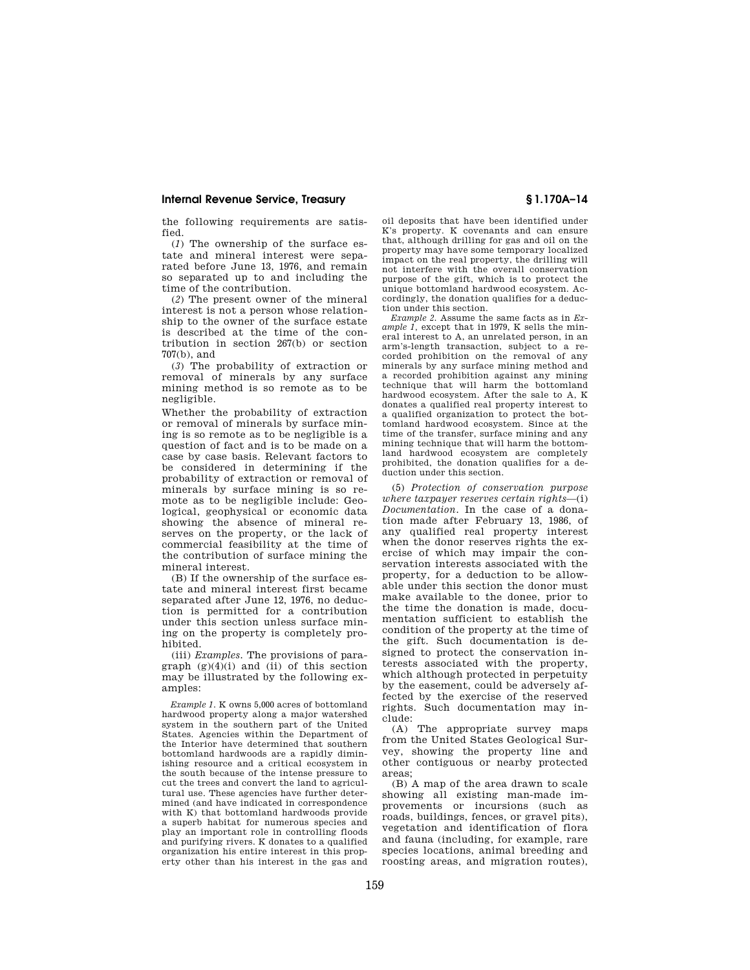the following requirements are satisfied.

(*1*) The ownership of the surface estate and mineral interest were separated before June 13, 1976, and remain so separated up to and including the time of the contribution.

(*2*) The present owner of the mineral interest is not a person whose relationship to the owner of the surface estate is described at the time of the contribution in section 267(b) or section 707(b), and

(*3*) The probability of extraction or removal of minerals by any surface mining method is so remote as to be negligible.

Whether the probability of extraction or removal of minerals by surface mining is so remote as to be negligible is a question of fact and is to be made on a case by case basis. Relevant factors to be considered in determining if the probability of extraction or removal of minerals by surface mining is so remote as to be negligible include: Geological, geophysical or economic data showing the absence of mineral reserves on the property, or the lack of commercial feasibility at the time of the contribution of surface mining the mineral interest.

(B) If the ownership of the surface estate and mineral interest first became separated after June 12, 1976, no deduction is permitted for a contribution under this section unless surface mining on the property is completely prohibited.

(iii) *Examples.* The provisions of paragraph  $(g)(4)(i)$  and  $(ii)$  of this section may be illustrated by the following examples:

*Example 1.* K owns 5,000 acres of bottomland hardwood property along a major watershed system in the southern part of the United States. Agencies within the Department of the Interior have determined that southern bottomland hardwoods are a rapidly diminishing resource and a critical ecosystem in the south because of the intense pressure to cut the trees and convert the land to agricultural use. These agencies have further determined (and have indicated in correspondence with K) that bottomland hardwoods provide a superb habitat for numerous species and play an important role in controlling floods and purifying rivers. K donates to a qualified organization his entire interest in this property other than his interest in the gas and

oil deposits that have been identified under K's property. K covenants and can ensure that, although drilling for gas and oil on the property may have some temporary localized impact on the real property, the drilling will not interfere with the overall conservation purpose of the gift, which is to protect the unique bottomland hardwood ecosystem. Accordingly, the donation qualifies for a deduction under this section.

*Example 2.* Assume the same facts as in *Example 1,* except that in 1979, K sells the mineral interest to A, an unrelated person, in an arm's-length transaction, subject to a recorded prohibition on the removal of any minerals by any surface mining method and a recorded prohibition against any mining technique that will harm the bottomland hardwood ecosystem. After the sale to A, K donates a qualified real property interest to a qualified organization to protect the bottomland hardwood ecosystem. Since at the time of the transfer, surface mining and any mining technique that will harm the bottomland hardwood ecosystem are completely prohibited, the donation qualifies for a deduction under this section.

(5) *Protection of conservation purpose where taxpayer reserves certain rights*—(i) *Documentation.* In the case of a donation made after February 13, 1986, of any qualified real property interest when the donor reserves rights the exercise of which may impair the conservation interests associated with the property, for a deduction to be allowable under this section the donor must make available to the donee, prior to the time the donation is made, documentation sufficient to establish the condition of the property at the time of the gift. Such documentation is designed to protect the conservation interests associated with the property, which although protected in perpetuity by the easement, could be adversely affected by the exercise of the reserved rights. Such documentation may include:

(A) The appropriate survey maps from the United States Geological Survey, showing the property line and other contiguous or nearby protected areas;

(B) A map of the area drawn to scale showing all existing man-made improvements or incursions (such as roads, buildings, fences, or gravel pits), vegetation and identification of flora and fauna (including, for example, rare species locations, animal breeding and roosting areas, and migration routes),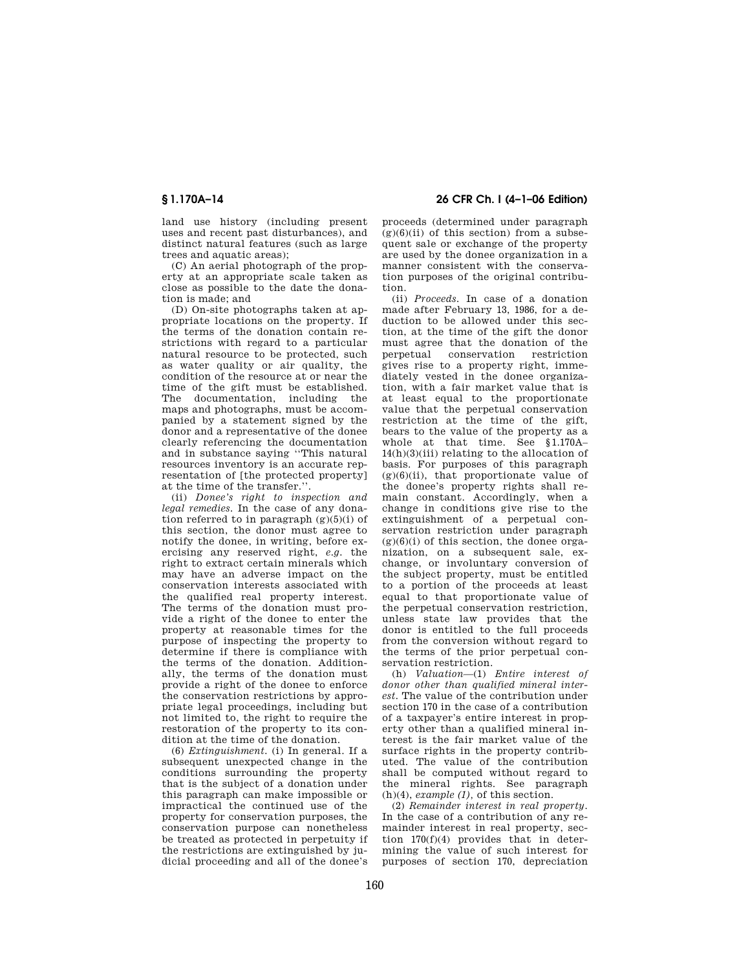land use history (including present uses and recent past disturbances), and distinct natural features (such as large trees and aquatic areas);

(C) An aerial photograph of the property at an appropriate scale taken as close as possible to the date the donation is made; and

(D) On-site photographs taken at appropriate locations on the property. If the terms of the donation contain restrictions with regard to a particular natural resource to be protected, such as water quality or air quality, the condition of the resource at or near the time of the gift must be established. The documentation, including the maps and photographs, must be accompanied by a statement signed by the donor and a representative of the donee clearly referencing the documentation and in substance saying ''This natural resources inventory is an accurate representation of [the protected property] at the time of the transfer.''.

(ii) *Donee's right to inspection and legal remedies.* In the case of any donation referred to in paragraph  $(g)(5)(i)$  of this section, the donor must agree to notify the donee, in writing, before exercising any reserved right, *e.g.* the right to extract certain minerals which may have an adverse impact on the conservation interests associated with the qualified real property interest. The terms of the donation must provide a right of the donee to enter the property at reasonable times for the purpose of inspecting the property to determine if there is compliance with the terms of the donation. Additionally, the terms of the donation must provide a right of the donee to enforce the conservation restrictions by appropriate legal proceedings, including but not limited to, the right to require the restoration of the property to its condition at the time of the donation.

(6) *Extinguishment.* (i) In general. If a subsequent unexpected change in the conditions surrounding the property that is the subject of a donation under this paragraph can make impossible or impractical the continued use of the property for conservation purposes, the conservation purpose can nonetheless be treated as protected in perpetuity if the restrictions are extinguished by judicial proceeding and all of the donee's

**§ 1.170A–14 26 CFR Ch. I (4–1–06 Edition)** 

proceeds (determined under paragraph  $(g)(6)(ii)$  of this section) from a subsequent sale or exchange of the property are used by the donee organization in a manner consistent with the conservation purposes of the original contribution.

(ii) *Proceeds.* In case of a donation made after February 13, 1986, for a deduction to be allowed under this section, at the time of the gift the donor must agree that the donation of the perpetual conservation restriction gives rise to a property right, immediately vested in the donee organization, with a fair market value that is at least equal to the proportionate value that the perpetual conservation restriction at the time of the gift, bears to the value of the property as a whole at that time. See §1.170A– 14(h)(3)(iii) relating to the allocation of basis. For purposes of this paragraph  $(g)(6)(ii)$ , that proportionate value of the donee's property rights shall remain constant. Accordingly, when a change in conditions give rise to the extinguishment of a perpetual conservation restriction under paragraph  $(g)(6)(i)$  of this section, the donee organization, on a subsequent sale, exchange, or involuntary conversion of the subject property, must be entitled to a portion of the proceeds at least equal to that proportionate value of the perpetual conservation restriction, unless state law provides that the donor is entitled to the full proceeds from the conversion without regard to the terms of the prior perpetual conservation restriction.

(h) *Valuation*—(1) *Entire interest of donor other than qualified mineral interest.* The value of the contribution under section 170 in the case of a contribution of a taxpayer's entire interest in property other than a qualified mineral interest is the fair market value of the surface rights in the property contributed. The value of the contribution shall be computed without regard to the mineral rights. See paragraph (h)(4), *example (1),* of this section.

(2) *Remainder interest in real property.*  In the case of a contribution of any remainder interest in real property, section 170(f)(4) provides that in determining the value of such interest for purposes of section 170, depreciation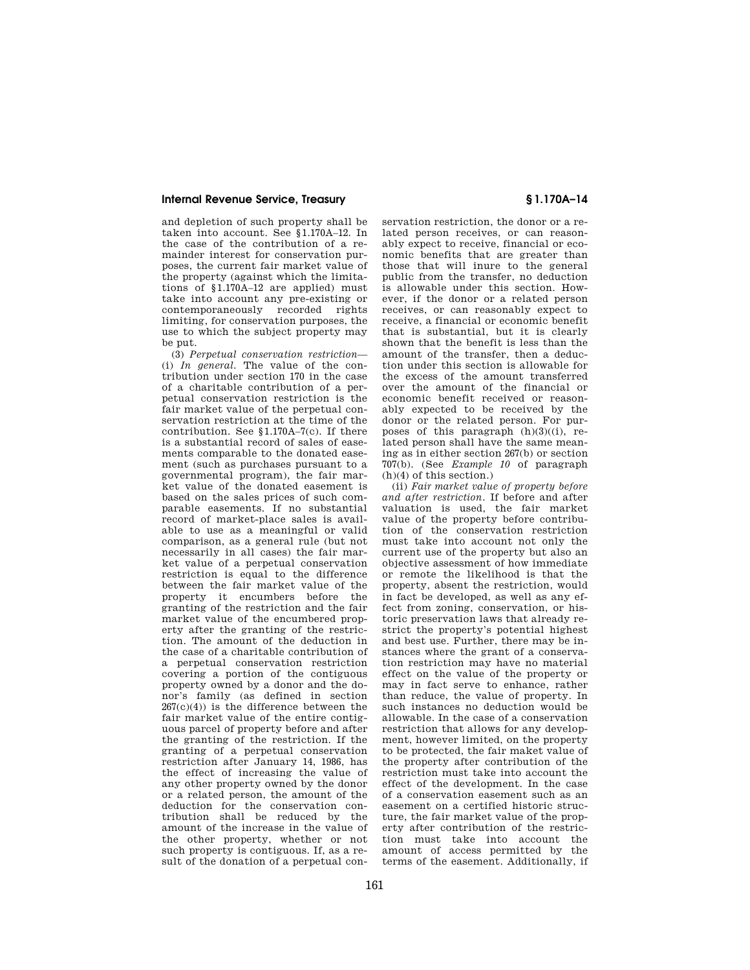and depletion of such property shall be taken into account. See §1.170A–12. In the case of the contribution of a remainder interest for conservation purposes, the current fair market value of the property (against which the limitations of §1.170A–12 are applied) must take into account any pre-existing or contemporaneously recorded rights limiting, for conservation purposes, the use to which the subject property may be put.

(3) *Perpetual conservation restriction*— (i) *In general.* The value of the contribution under section 170 in the case of a charitable contribution of a perpetual conservation restriction is the fair market value of the perpetual conservation restriction at the time of the contribution. See §1.170A–7(c). If there is a substantial record of sales of easements comparable to the donated easement (such as purchases pursuant to a governmental program), the fair market value of the donated easement is based on the sales prices of such comparable easements. If no substantial record of market-place sales is available to use as a meaningful or valid comparison, as a general rule (but not necessarily in all cases) the fair market value of a perpetual conservation restriction is equal to the difference between the fair market value of the property it encumbers before the granting of the restriction and the fair market value of the encumbered property after the granting of the restriction. The amount of the deduction in the case of a charitable contribution of a perpetual conservation restriction covering a portion of the contiguous property owned by a donor and the donor's family (as defined in section  $267(c)(4)$  is the difference between the fair market value of the entire contiguous parcel of property before and after the granting of the restriction. If the granting of a perpetual conservation restriction after January 14, 1986, has the effect of increasing the value of any other property owned by the donor or a related person, the amount of the deduction for the conservation contribution shall be reduced by the amount of the increase in the value of the other property, whether or not such property is contiguous. If, as a result of the donation of a perpetual con-

servation restriction, the donor or a related person receives, or can reasonably expect to receive, financial or economic benefits that are greater than those that will inure to the general public from the transfer, no deduction is allowable under this section. However, if the donor or a related person receives, or can reasonably expect to receive, a financial or economic benefit that is substantial, but it is clearly shown that the benefit is less than the amount of the transfer, then a deduction under this section is allowable for the excess of the amount transferred over the amount of the financial or economic benefit received or reasonably expected to be received by the donor or the related person. For purposes of this paragraph  $(h)(3)((i))$ , related person shall have the same meaning as in either section 267(b) or section 707(b). (See *Example 10* of paragraph  $(h)(4)$  of this section.)

(ii) *Fair market value of property before and after restriction.* If before and after valuation is used, the fair market value of the property before contribution of the conservation restriction must take into account not only the current use of the property but also an objective assessment of how immediate or remote the likelihood is that the property, absent the restriction, would in fact be developed, as well as any effect from zoning, conservation, or historic preservation laws that already restrict the property's potential highest and best use. Further, there may be instances where the grant of a conservation restriction may have no material effect on the value of the property or may in fact serve to enhance, rather than reduce, the value of property. In such instances no deduction would be allowable. In the case of a conservation restriction that allows for any development, however limited, on the property to be protected, the fair maket value of the property after contribution of the restriction must take into account the effect of the development. In the case of a conservation easement such as an easement on a certified historic structure, the fair market value of the property after contribution of the restriction must take into account the amount of access permitted by the terms of the easement. Additionally, if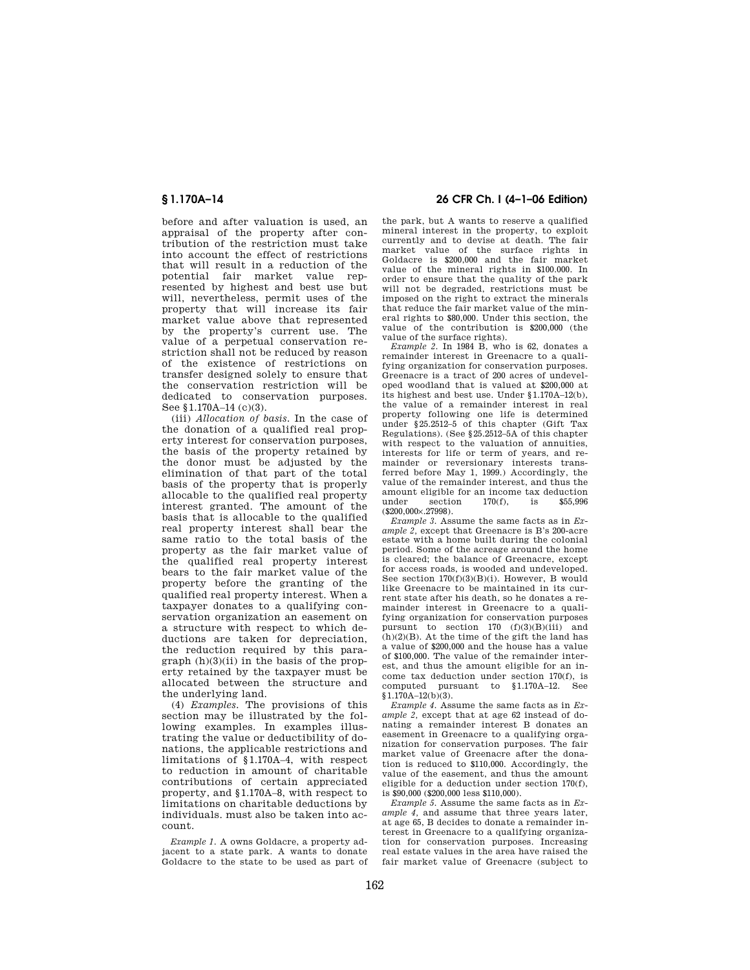before and after valuation is used, an appraisal of the property after contribution of the restriction must take into account the effect of restrictions that will result in a reduction of the potential fair market value represented by highest and best use but will, nevertheless, permit uses of the property that will increase its fair market value above that represented by the property's current use. The value of a perpetual conservation restriction shall not be reduced by reason of the existence of restrictions on transfer designed solely to ensure that the conservation restriction will be dedicated to conservation purposes. See §1.170A-14 (c)(3).

(iii) *Allocation of basis.* In the case of the donation of a qualified real property interest for conservation purposes, the basis of the property retained by the donor must be adjusted by the elimination of that part of the total basis of the property that is properly allocable to the qualified real property interest granted. The amount of the basis that is allocable to the qualified real property interest shall bear the same ratio to the total basis of the property as the fair market value of the qualified real property interest bears to the fair market value of the property before the granting of the qualified real property interest. When a taxpayer donates to a qualifying conservation organization an easement on a structure with respect to which deductions are taken for depreciation, the reduction required by this para $graph(h)(3)(ii)$  in the basis of the property retained by the taxpayer must be allocated between the structure and the underlying land.

(4) *Examples.* The provisions of this section may be illustrated by the following examples. In examples illustrating the value or deductibility of donations, the applicable restrictions and limitations of §1.170A–4, with respect to reduction in amount of charitable contributions of certain appreciated property, and §1.170A–8, with respect to limitations on charitable deductions by individuals. must also be taken into account.

*Example 1.* A owns Goldacre, a property adjacent to a state park. A wants to donate Goldacre to the state to be used as part of

## **§ 1.170A–14 26 CFR Ch. I (4–1–06 Edition)**

the park, but A wants to reserve a qualified mineral interest in the property, to exploit currently and to devise at death. The fair market value of the surface rights in Goldacre is \$200,000 and the fair market value of the mineral rights in \$100.000. In order to ensure that the quality of the park will not be degraded, restrictions must be imposed on the right to extract the minerals that reduce the fair market value of the mineral rights to \$80,000. Under this section, the value of the contribution is \$200,000 (the value of the surface rights).

*Example 2.* In 1984 B, who is 62, donates a remainder interest in Greenacre to a qualifying organization for conservation purposes. Greenacre is a tract of 200 acres of undeveloped woodland that is valued at \$200,000 at its highest and best use. Under §1.170A–12(b), the value of a remainder interest in real property following one life is determined under §25.2512–5 of this chapter (Gift Tax Regulations). (See §25.2512–5A of this chapter with respect to the valuation of annuities, interests for life or term of years, and remainder or reversionary interests transferred before May 1, 1999.) Accordingly, the value of the remainder interest, and thus the amount eligible for an income  $\text{tax}$  deduction<br>under section  $170(f)$ , is \$55,996 section  $(S200.000 \times 27998)$ .

*Example 3.* Assume the same facts as in *Example 2,* except that Greenacre is B's 200-acre estate with a home built during the colonial period. Some of the acreage around the home is cleared; the balance of Greenacre, except for access roads, is wooded and undeveloped. See section 170(f)(3)(B)(i). However, B would like Greenacre to be maintained in its current state after his death, so he donates a remainder interest in Greenacre to a qualifying organization for conservation purposes<br>pursunt to section  $170$  (f)(3)(B)(iii) and pursunt to section  $170 \text{ (f)}(3)(B)(iii)$  $(h)(2)(B)$ . At the time of the gift the land has a value of \$200,000 and the house has a value of \$100,000. The value of the remainder interest, and thus the amount eligible for an income tax deduction under section 170(f), is computed pursuant to §1.170A–12. See  $$1.170A-12(b)(3).$ 

*Example 4.* Assume the same facts as in *Example 2,* except that at age 62 instead of donating a remainder interest B donates an easement in Greenacre to a qualifying organization for conservation purposes. The fair market value of Greenacre after the donation is reduced to \$110,000. Accordingly, the value of the easement, and thus the amount eligible for a deduction under section 170(f), is \$90,000 (\$200,000 less \$110,000).

*Example 5.* Assume the same facts as in *Example 4,* and assume that three years later, at age 65, B decides to donate a remainder interest in Greenacre to a qualifying organization for conservation purposes. Increasing real estate values in the area have raised the fair market value of Greenacre (subject to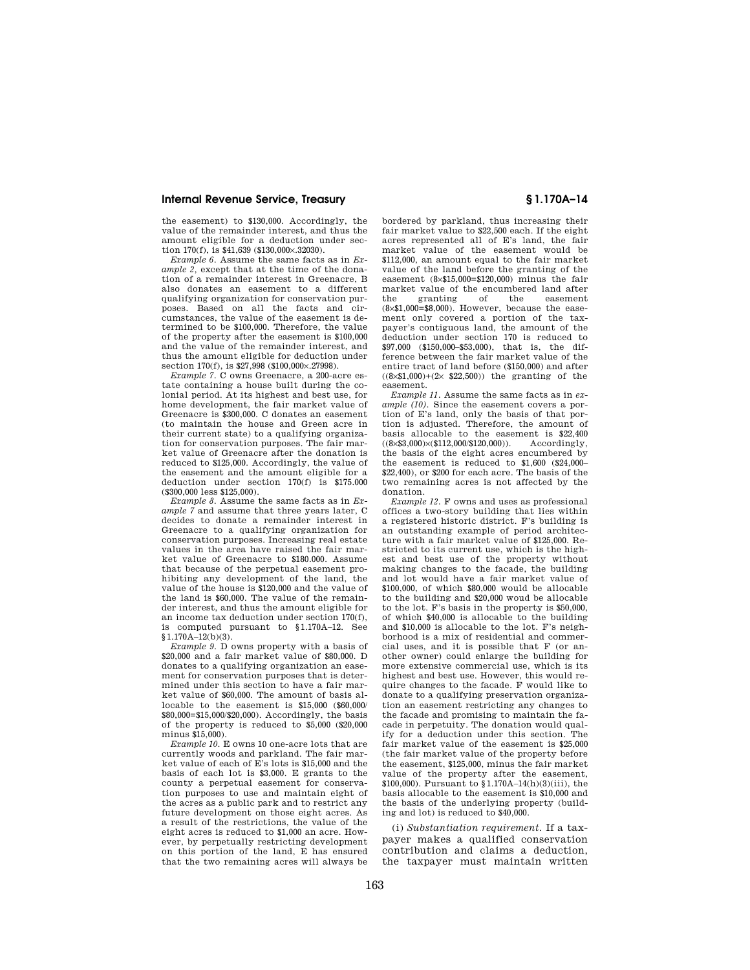the easement) to \$130,000. Accordingly, the value of the remainder interest, and thus the amount eligible for a deduction under section 170(f), is \$41,639 (\$130,000×.32030).

*Example 6.* Assume the same facts as in *Example 2,* except that at the time of the donation of a remainder interest in Greenacre, B also donates an easement to a different qualifying organization for conservation purposes. Based on all the facts and circumstances, the value of the easement is determined to be \$100,000. Therefore, the value of the property after the easement is \$100,000 and the value of the remainder interest, and thus the amount eligible for deduction under section 170(f), is \$27,998 (\$100,000×.27998).

*Example 7.* C owns Greenacre, a 200-acre estate containing a house built during the colonial period. At its highest and best use, for home development, the fair market value of Greenacre is \$300,000. C donates an easement (to maintain the house and Green acre in their current state) to a qualifying organization for conservation purposes. The fair market value of Greenacre after the donation is reduced to \$125,000. Accordingly, the value of the easement and the amount eligible for a deduction under section 170(f) is \$175.000 (\$300,000 less \$125,000).

*Example 8.* Assume the same facts as in *Example 7* and assume that three years later, C decides to donate a remainder interest in Greenacre to a qualifying organization for conservation purposes. Increasing real estate values in the area have raised the fair market value of Greenacre to \$180.000. Assume that because of the perpetual easement prohibiting any development of the land, the value of the house is \$120,000 and the value of the land is \$60,000. The value of the remainder interest, and thus the amount eligible for an income tax deduction under section 170(f), is computed pursuant to §1.170A–12. See §1.170A–12(b)(3).

*Example 9.* D owns property with a basis of \$20,000 and a fair market value of \$80,000. D donates to a qualifying organization an easement for conservation purposes that is determined under this section to have a fair market value of \$60,000. The amount of basis allocable to the easement is \$15,000 (\$60,000/ \$80,000=\$15,000/\$20,000). Accordingly, the basis of the property is reduced to \$5,000 (\$20,000 minus \$15,000).

*Example 10.* E owns 10 one-acre lots that are currently woods and parkland. The fair market value of each of E's lots is \$15,000 and the basis of each lot is \$3,000. E grants to the county a perpetual easement for conservation purposes to use and maintain eight of the acres as a public park and to restrict any future development on those eight acres. As a result of the restrictions, the value of the eight acres is reduced to \$1,000 an acre. However, by perpetually restricting development on this portion of the land, E has ensured that the two remaining acres will always be

bordered by parkland, thus increasing their fair market value to \$22,500 each. If the eight acres represented all of E's land, the fair market value of the easement would be \$112,000, an amount equal to the fair market value of the land before the granting of the easement (8×\$15,000=\$120,000) minus the fair market value of the encumbered land after<br>the granting of the easement the granting of the easement (8×\$1,000=\$8,000). However, because the easement only covered a portion of the taxpayer's contiguous land, the amount of the deduction under section 170 is reduced to \$97,000 (\$150,000–\$53,000), that is, the difference between the fair market value of the entire tract of land before (\$150,000) and after  $((8\times$1,000)+(2\times$22,500))$  the granting of the easement.

*Example 11.* Assume the same facts as in *example (10).* Since the easement covers a portion of E's land, only the basis of that portion is adjusted. Therefore, the amount of basis allocable to the easement is  $$22,400$   $((8 \times $3,000) \times ($112,000 \times $120,000))$ . Accordingly,  $((8\times$3,000)\times$112,000/$120,000))$ . the basis of the eight acres encumbered by the easement is reduced to \$1,600 (\$24,000– \$22,400), or \$200 for each acre. The basis of the two remaining acres is not affected by the donation.

*Example 12.* F owns and uses as professional offices a two-story building that lies within a registered historic district. F's building is an outstanding example of period architecture with a fair market value of \$125,000. Restricted to its current use, which is the highest and best use of the property without making changes to the facade, the building and lot would have a fair market value of \$100,000, of which \$80,000 would be allocable to the building and \$20,000 woud be allocable to the lot. F's basis in the property is \$50,000, of which \$40,000 is allocable to the building and \$10,000 is allocable to the lot. F's neighborhood is a mix of residential and commercial uses, and it is possible that F (or another owner) could enlarge the building for more extensive commercial use, which is its highest and best use. However, this would require changes to the facade. F would like to donate to a qualifying preservation organization an easement restricting any changes to the facade and promising to maintain the facade in perpetuity. The donation would qualify for a deduction under this section. The fair market value of the easement is \$25,000 (the fair market value of the property before the easement, \$125,000, minus the fair market value of the property after the easement, \$100,000). Pursuant to §1.170A–14(h)(3)(iii), the basis allocable to the easement is \$10,000 and the basis of the underlying property (building and lot) is reduced to \$40,000.

(i) *Substantiation requirement.* If a taxpayer makes a qualified conservation contribution and claims a deduction, the taxpayer must maintain written